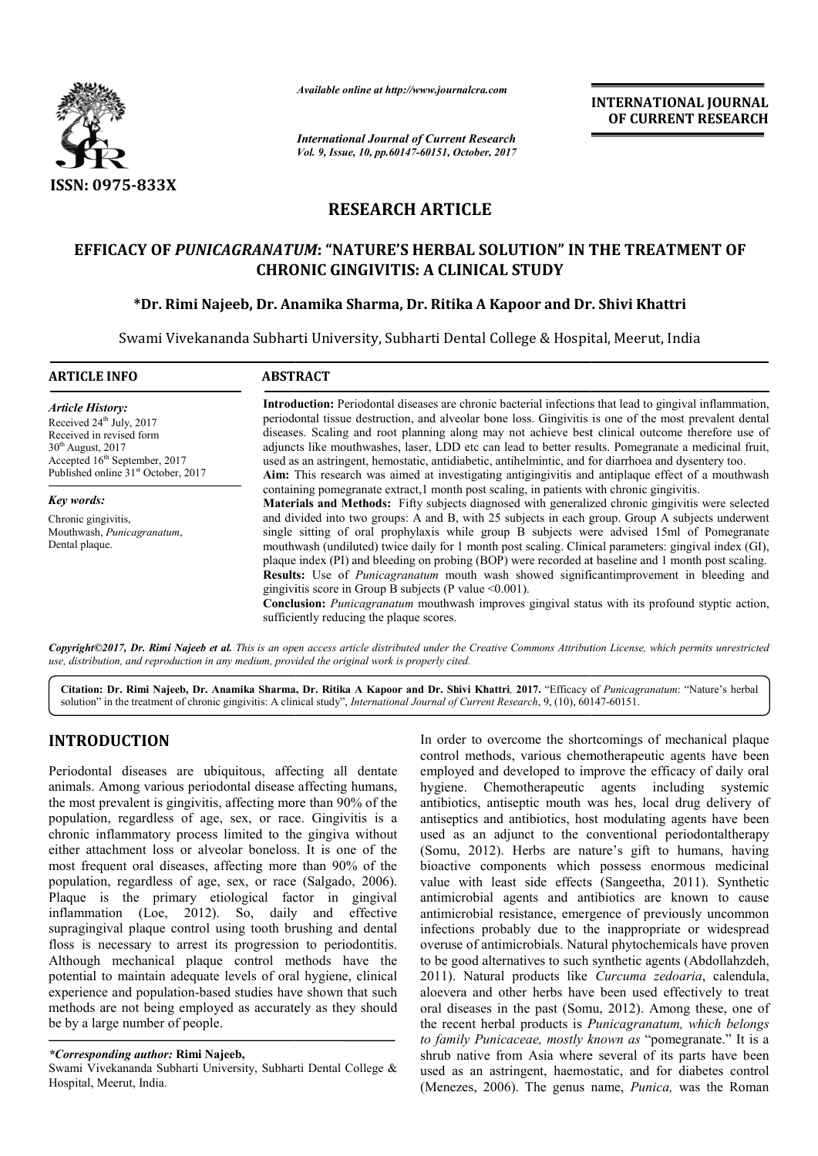

*Available online at http://www.journalcra.com*

*International Journal of Current Research Vol. 9, Issue, 10, pp.60147-60151, October, 2017* **INTERNATIONAL JOURNAL OF CURRENT RESEARCH** 

# **RESEARCH ARTICLE**

# **EFFICACY OF** *PUNICAGRANATUM* **: "NATURE'S HERBAL SOLUTION" IN THE TREATMENT OF THE TREATMENT CHRONIC GINGIVITIS: A CLINICAL STUDY**

## **\*Dr. Rimi Najeeb, Dr. Anamika Sharma, Dr. Ritika A Kapoor and Dr. Shivi Khattri**

Swami Vivekananda Subharti University, Subharti Dental College & Hospital, Meerut, India

| <b>ARTICLE INFO</b>                                                                                                                                                                                                | <b>ABSTRACT</b>                                                                                                                                                                                                                                                                                                                                                                                                                                                                                                                                                                                                                                                                                                                                |
|--------------------------------------------------------------------------------------------------------------------------------------------------------------------------------------------------------------------|------------------------------------------------------------------------------------------------------------------------------------------------------------------------------------------------------------------------------------------------------------------------------------------------------------------------------------------------------------------------------------------------------------------------------------------------------------------------------------------------------------------------------------------------------------------------------------------------------------------------------------------------------------------------------------------------------------------------------------------------|
| <b>Article History:</b><br>Received 24 <sup>th</sup> July, 2017<br>Received in revised form<br>$30th$ August, 2017<br>Accepted 16 <sup>th</sup> September, 2017<br>Published online 31 <sup>st</sup> October, 2017 | <b>Introduction:</b> Periodontal diseases are chronic bacterial infections that lead to gingival inflammation,<br>periodontal tissue destruction, and alveolar bone loss. Gingivitis is one of the most prevalent dental<br>diseases. Scaling and root planning along may not achieve best clinical outcome therefore use of<br>adjuncts like mouthwashes, laser, LDD etc can lead to better results. Pomegranate a medicinal fruit,<br>used as an astringent, hemostatic, antidiabetic, antihelmintic, and for diarrhoea and dysentery too.<br>Aim: This research was aimed at investigating antigingivitis and antiplaque effect of a mouthwash                                                                                              |
| Key words:                                                                                                                                                                                                         | containing pomegranate extract, 1 month post scaling, in patients with chronic gingivitis.<br><b>Materials and Methods:</b> Fifty subjects diagnosed with generalized chronic gingivitis were selected                                                                                                                                                                                                                                                                                                                                                                                                                                                                                                                                         |
| Chronic gingivitis,<br>Mouthwash, Punicagranatum,<br>Dental plaque.                                                                                                                                                | and divided into two groups: A and B, with 25 subjects in each group. Group A subjects underwent<br>single sitting of oral prophylaxis while group B subjects were advised 15ml of Pomegranate<br>mouthwash (undiluted) twice daily for 1 month post scaling. Clinical parameters: gingival index (GI),<br>plaque index (PI) and bleeding on probing (BOP) were recorded at baseline and 1 month post scaling.<br>Results: Use of <i>Punicagranatum</i> mouth wash showed significantimprovement in bleeding and<br>gingivitis score in Group B subjects (P value $\leq 0.001$ ).<br><b>Conclusion:</b> <i>Punicagranatum</i> mouthwash improves gingival status with its profound styptic action,<br>sufficiently reducing the plaque scores. |

*Copyright©2017, Dr. Rimi Najeeb et al. This is an open access article distributed under the Creative Commons Att Attribution License, which ribution permits unrestricted use, distribution, and reproduction in any medium, provided the original work is properly cited.*

Citation: Dr. Rimi Najeeb, Dr. Anamika Sharma, Dr. Ritika A Kapoor and Dr. Shivi Khattri, 2017. "Efficacy of Punicagranatum: "Nature's herbal solution" in the treatment of chronic gingivitis: A clinical study", *International Journal of Current Research*, 9, (10), 60147-60151.

# **INTRODUCTION**

Periodontal diseases are ubiquitous, affecting all dentate animals. Among various periodontal disease affecting humans, the most prevalent is gingivitis, affecting more than 90% of the population, regardless of age, sex, or race. Gingivitis is a chronic inflammatory process limited to the gingiva without either attachment loss or alveolar boneloss. It is one of the most frequent oral diseases, affecting more than 90% of the population, regardless of age, sex, or race (Salgado, 2006). Plaque is the primary etiological factor in gingival inflammation (Loe, 2012). So, daily and effective supragingival plaque control using tooth brushing and dental floss is necessary to arrest its progression to periodontitis. Although mechanical plaque control methods have the potential to maintain adequate levels of oral hygiene, clinical experience and population-based studies have shown that such methods are not being employed as accurately as they should be by a large number of people.

In order to overcome the shortcomings of mechanical plaque control methods, various chemotherapeutic agents have been employed and developed to improve the efficacy of daily oral hygiene. Chemotherapeutic agents including systemic antibiotics, antiseptic mouth was hes, local drug delivery of antiseptics and antibiotics, host modulating agents have been used as an adjunct to the conventional periodontal therapy (Somu, 2012). Herbs are nature's gift to humans, having bioactive components which possess enormous medicinal value with least side effects (Sangeetha, 2011). Synthetic antimicrobial agents and antibiotics are known to cause antimicrobial resistance, emergence of previously uncommon antimicrobial resistance, emergence of previously uncommon infections probably due to the inappropriate or widespread overuse of antimicrobials. Natural phytochemicals have proven overuse of antimicrobials. Natural phytochemicals have proven<br>to be good alternatives to such synthetic agents (Abdollahzdeh, 2011). Natural products like *Curcuma zedoaria*, calendula, aloevera and other herbs have been used effectively to treat oral diseases in the past (Somu, 2012). Among these, one of the recent herbal products is *Punicagranatum, which belongs to family Punicaceae, mostly known as*  "pomegranate." It is a shrub native from Asia where several of its parts have been shrub native from Asia where several of its parts have been<br>used as an astringent, haemostatic, and for diabetes control (Menezes, 2006). The genus name, *Punica,* was the Roman antibiotics, host modulating agents have been<br>junct to the conventional periodontaltherapy<br>Herbs are nature's gift to humans, having<br>ponents which possess enormous medicinal

*<sup>\*</sup>Corresponding author:* **Rimi Najeeb,**

Swami Vivekananda Subharti University, Subharti Dental College & Hospital, Meerut, India.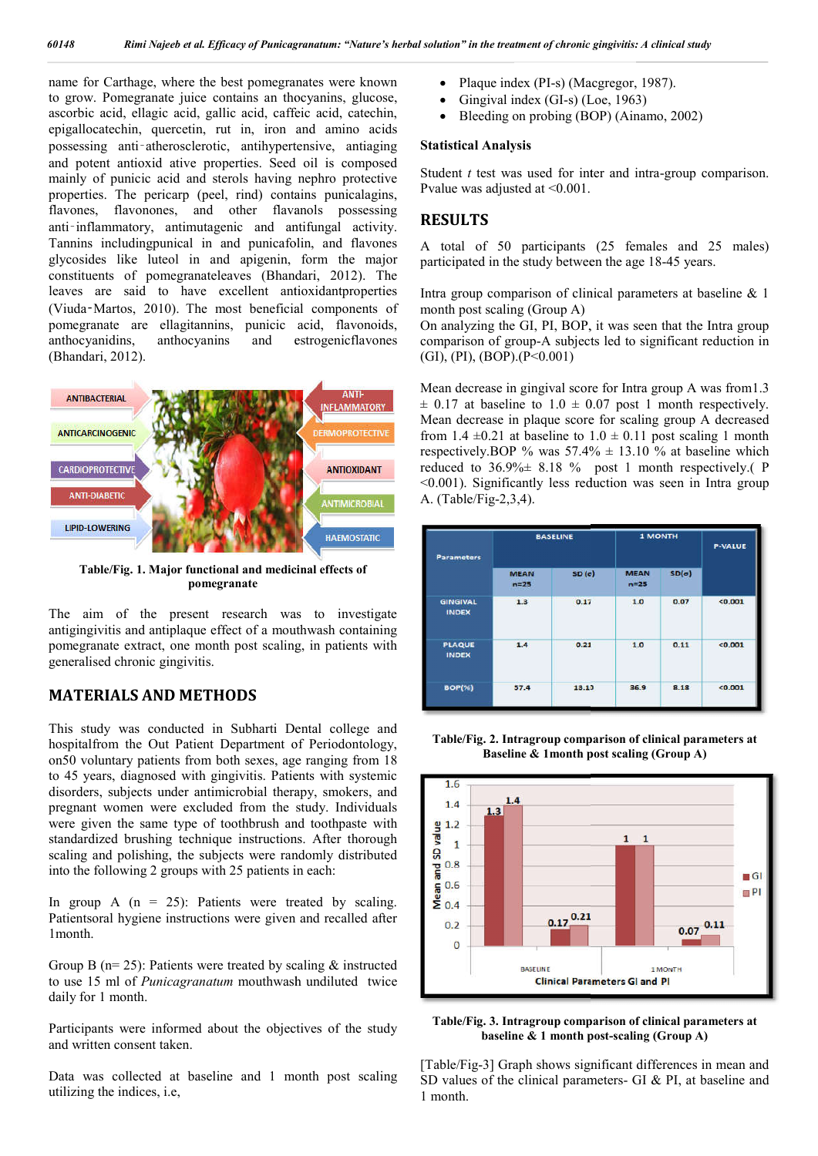name for Carthage, where the best pomegranates were known to grow. Pomegranate juice contains an thocyanins, glucose, ascorbic acid, ellagic acid, gallic acid, caffeic acid, catechin, epigallocatechin, quercetin, rut in, iron and amino acids possessing anti-atherosclerotic, antihypertensive, antiaging and potent antioxid ative properties. Seed oil is composed mainly of punicic acid and sterols having nephro protective properties. The pericarp (peel, rind) contains punicalagins, flavones, flavonones, and other flavanols poss possessing anti-inflammatory, antimutagenic and antifungal activity. Tannins includingpunical in and punicafolin, and flavones glycosides like luteol in and apigenin, form the major constituents of pomegranateleaves (Bhandari, 2012). The leaves are said to have excellent antioxidant properties (Viuda‑Martos, 2010). The most beneficial components of pomegranate are ellagitannins, punicic acid, flavonoids, anthocyanidins, anthocyanins and estrogenicflavones (Bhandari, 2012).



**Table/Fig. 1. Major functional and medicinal effects of pomegranate**

The aim of the present research was to investigate antigingivitis and antiplaque effect of a mouthwash containing pomegranate extract, one month post scaling, in patients with generalised chronic gingivitis.

### **MATERIALS AND METHODS**

This study was conducted in Subharti Dental college and hospitalfrom the Out Patient Department of Periodontology, on50 voluntary patients from both sexes, age ranging from 18 to 45 years, diagnosed with gingivitis. Patients with systemic disorders, subjects under antimicrobial therapy, smokers, and pregnant women were excluded from the study. Individuals were given the same type of toothbrush and toothpaste with standardized brushing technique instructions. After thorough scaling and polishing, the subjects were randomly distributed into the following 2 groups with 25 patients in each: were given the same type of toothbrush and toothpaste with standardized brushing technique instructions. After thorough scaling and polishing, the subjects were randomly distributed into the following 2 groups with 25 pat

In group A  $(n = 25)$ : Patients were treated by scaling. 1month.

Group B ( $n= 25$ ): Patients were treated by scaling  $\&$  instructed to use 15 ml of *Punicagranatum* mouthwash undiluted twice daily for 1 month.

Participants were informed about the objectives of the study and written consent taken.

Data was collected at baseline and 1 month post scaling utilizing the indices, i.e,

- Plaque index (PI-s) (Macgregor, 1987).
- Gingival index (GI-s) (Loe, 1963)
- Bleeding on probing (BOP) (Ainamo, 2002)

#### **Statistical Analysis**

Student *t* test was used for inter and intra-group comparison. Pvalue was adjusted at <0.001.

## **RESULTS**

A total of 50 participants (25 females and 25 males) participated in the study between the age 18-45 years.

Intra group comparison of clinical parameters at baseline & 1 month post scaling (Group A)

On analyzing the GI, PI, BOP, it was seen that the Intra group comparison of group-A subjects led to significant reduction in (GI), (PI), (BOP).(P<0.001) baseline  $\&$  I<br>froup A)<br>PI, BOP, it was seen that the Intra group<br>A subjects led to significant reduction in<br>0.001)<br>gival score for Intra group A was from 1...<br> $\frac{1}{1.0} \pm 0.07$  post 1 month respectively

Mean decrease in gingival score for Intra group A was from1.3  $\pm$  0.17 at baseline to 1.0  $\pm$  0.07 post 1 month respectively. Mean decrease in plaque score for scaling group A decreased Mean decrease in plaque score for scaling group A decreased from  $1.4 \pm 0.21$  at baseline to  $1.0 \pm 0.11$  post scaling 1 month respectively. BOP % was  $57.4\% \pm 13.10$  % at baseline which reduced to  $36.9\% \pm 8.18$  % post 1 month respectively.( P <0.001). Significantly less reduction was seen in Intra group  $\leq 0.001$ ). Significantly less reduction was seen in Intra group A. (Table/Fig-2,3,4).

| <b>Parameters</b>               | <b>BASELINE</b>         |          | <b>1 MONTH</b>        |              | <b>P-VALUE</b> |
|---------------------------------|-------------------------|----------|-----------------------|--------------|----------------|
|                                 | <b>MEAN</b><br>$n = 25$ | $SD($ a) | <b>MEAN</b><br>$n=25$ | $SD(\sigma)$ |                |
| <b>GINGIVAL</b><br><b>INDEX</b> | 1.3                     | 0.17     | 1.0                   | 0.07         | < 0.001        |
| <b>PLAQUE</b><br><b>INDEX</b>   | 1.4                     | 0.21     | 1.0                   | 0.11         | < 0.001        |
| <b>BOP(%)</b>                   | 57.4                    | 13.10    | 36.9                  | 8.18         | < 0.001        |

**Table/Fig. 2. Intragroup comparison of clinical parameters at Baseline & 1month post scaling (Group A)**



**Table/Fig. 3. Intragroup comparison of clinical parameters at baseline & 1 month post-scaling (Group A)** 

[Table/Fig-3] Graph shows significant differences in mean and [Table/Fig-3] Graph shows significant differences in mean and SD values of the clinical parameters- GI & PI, at baseline and 1 month.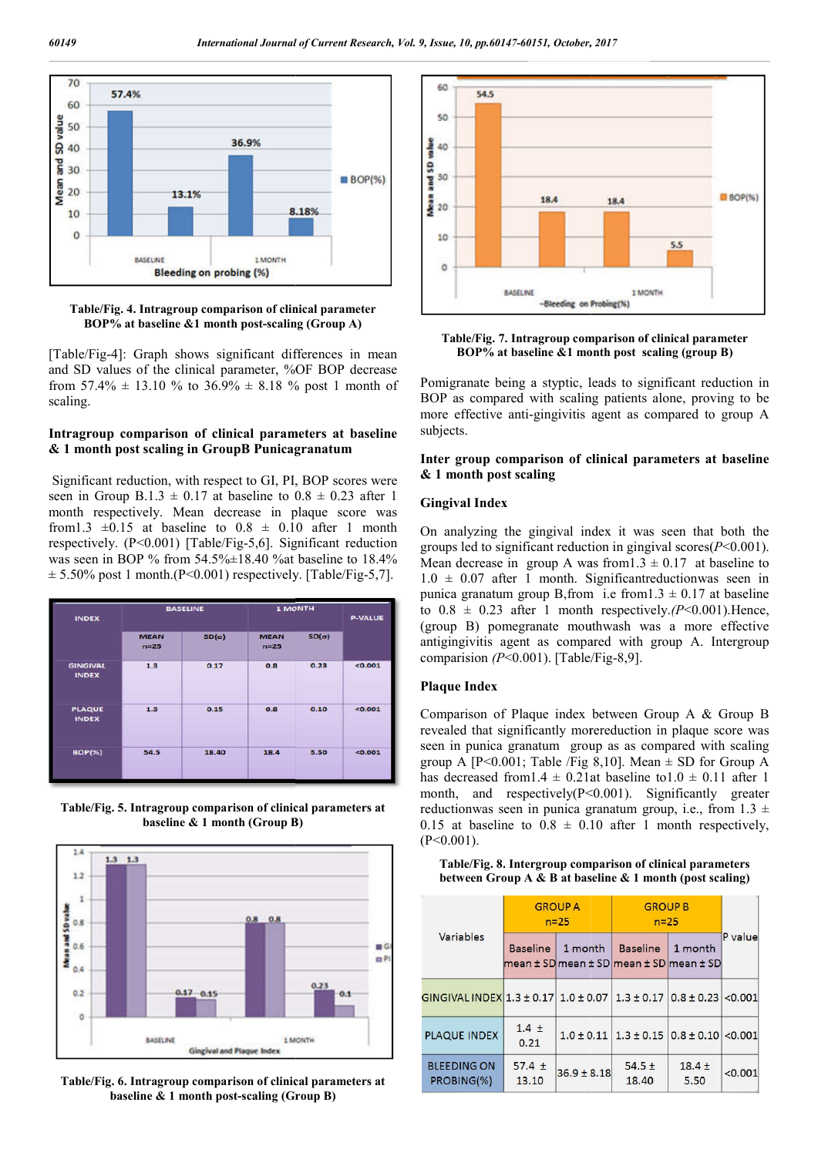

**Table/Fig. 4. Intragroup comparison of clinical parameter BOP%** at baseline &1 month post-scaling (Group A)

[Table/Fig-4]: Graph shows significant differences in mean and SD values of the clinical parameter, %OF BOP decrease from  $57.4\% \pm 13.10\%$  to  $36.9\% \pm 8.18\%$  post 1 month of scaling.

#### **Intragroup comparison of clinical parameters at baseline & 1 month post scaling in GroupB Punicagranatum**

Significant reduction, with respect to GI, PI, BOP scores were seen in Group B.1.3  $\pm$  0.17 at baseline to 0.8  $\pm$  0.23 after 1 month respectively. Mean decrease in plaque score was from1.3  $\pm 0.15$  at baseline to  $0.8 \pm 0.10$  after 1 month respectively. (P<0.001) [Table/Fig-5,6]. Significant reduction was seen in BOP % from 54.5% $\pm$ 18.40 % at baseline to 18.4%  $\pm$  5.50% post 1 month.(P<0.001) respectively. [Table/Fig-5,7].

| <b>INDEX</b>                    | <b>BASELINE</b>         |              | <b>1 MONTH</b>          |              | <b>P-VALUE</b> |
|---------------------------------|-------------------------|--------------|-------------------------|--------------|----------------|
|                                 | <b>MEAN</b><br>$n = 25$ | $SD(\sigma)$ | <b>MEAN</b><br>$n = 25$ | $SD(\sigma)$ |                |
| <b>GINGIVAL</b><br><b>INDEX</b> | 1.3                     | 0.17         | 0.8                     | 0.23         | < 0.001        |
| <b>PLAQUE</b><br><b>INDEX</b>   | 1.3                     | 0.15         | 0.8                     | 0.10         | <0.001         |
| <b>BOP(%)</b>                   | 54.5                    | 18.40        | 18.4                    | 5.50         | < 0.001        |

**Table/Fig. 5. Intragroup comparison of clinical parameters at baseline & 1 month (Group B)**



**Table/Fig. 6. Intragroup comparison of clinical parameters at baseline & 1 month post-scaling (Group scaling B)**



**Table/Fig. 7. Intragroup comparison of clinical parameter** ble/Fig. 7. Intragroup comparison of clinical parame<br>**BOP% at baseline &1 month post** scaling (group B)

Pomigranate being a styptic, leads to significant reduction in BOP as compared with scaling patients alone, proving to be more effective anti-gingivitis agent as compared to group A BOP as compared with scaling patients alone, proving to be more effective anti-gingivitis agent as compared to group A subjects.

#### Inter group comparison of clinical parameters at baseline **& 1 month post scaling**

#### **Gingival Index**

On analyzing the gingival index it was seen that both the On analyzing the gingival index it was seen that both the groups led to significant reduction in gingival scores( $P < 0.001$ ). Mean decrease in group A was from  $1.3 \pm 0.17$  at baseline to  $1.0 \pm 0.07$  after 1 month. Significant reductionwas seen in punica granatum group B, from i.e from  $1.3 \pm 0.17$  at baseline to  $0.8 \pm 0.23$  after 1 month respectively. (P<0.001). Hence, (group B) pomegranate mouthwash was a more effective (group B) pomegranate mouthwash was a more effective antigingivitis agent as compared with group A. Intergroup comparision  $(P<0.001)$ . [Table/Fig-8,9]. an decrease in group A was from  $1.3 \pm 0.17$  at baseline to  $\pm 0.07$  after 1 month. Significant reduction was seen in inca granatum group B, from i.e from  $1.3 \pm 0.17$  at baseline  $0.8 \pm 0.23$  after 1 month respectively.

#### **Plaque Index**

Comparison of Plaque index between Group A & & Group B revealed that significantly morereduction in plaque score was seen in punica granatum group as as compared with scaling group A  $[P<0.001$ ; Table /Fig 8,10]. Mean  $\pm$  SD for Group A has decreased from  $1.4 \pm 0.21$  at baseline to  $1.0 \pm 0.11$  after 1 month, and respectively(P<0.001). Significantly greater reductionwas seen in punica granatum group, i.e., from  $1.3 \pm$ 0.15 at baseline to  $0.8 \pm 0.10$  after 1 month respectively,  $(P<0.001)$ .

#### **Table/Fig. 8. Intergroup comparison of clinical parameters between Group A & B at baseline & 1 month (post scaling)**

| Variables                                                              | <b>GROUP A</b><br>$n=25$ |                                                    | <b>GROUP B</b><br>$n=25$                     |                    |         |
|------------------------------------------------------------------------|--------------------------|----------------------------------------------------|----------------------------------------------|--------------------|---------|
|                                                                        | <b>Baseline</b>          | 1 month<br>mean ± SD mean ± SD mean ± SD mean ± SD | <b>Baseline</b>                              | 1 month            | P value |
| GINGIVAL INDEX 1.3 ± 0.17 $1.0 \pm 0.07$ 1.3 $\pm$ 0.17 $0.8 \pm 0.23$ |                          |                                                    |                                              |                    | < 0.001 |
| <b>PLAQUE INDEX</b>                                                    | $1.4 \pm$<br>0.21        |                                                    | $1.0 \pm 0.11$ 1.3 $\pm$ 0.15 0.8 $\pm$ 0.10 |                    | < 0.001 |
| <b>BLEEDING ON</b><br>PROBING(%)                                       | $57.4 \pm$<br>13.10      | $36.9 \pm 8.18$                                    | $54.5 \pm$<br>18.40                          | $18.4 \pm$<br>5.50 | < 0.001 |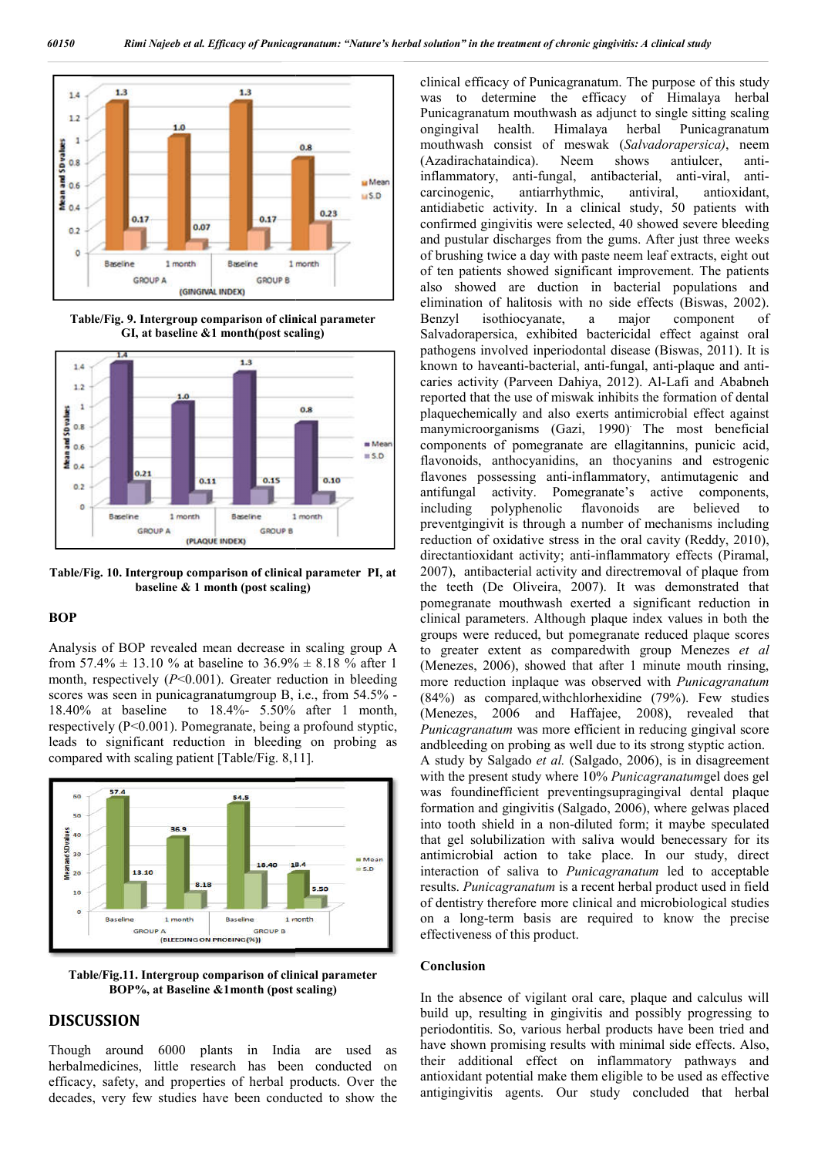

**Table/Fig. 9. Intergroup comparison of clinical parameter GI, at baseline &1 month(post scaling)**



**Table/Fig. 10. Intergroup comparison of clinical parameter PI, at baseline & 1 month (post scaling) seline** 

#### **BOP**

Analysis of BOP revealed mean decrease in scaling group A from 57.4%  $\pm$  13.10 % at baseline to 36.9%  $\pm$  8.18 % after 1 month, respectively (*P*<0.001). Greater reduction in bleeding scores was seen in punicagranatumgroup B, i.e., from 54.5% -18.40% at baseline to 18.4%- 5.50% after 1 month, respectively (P<0.001). Pomegranate, being a profound styptic, leads to significant reduction in bleeding on probing as compared with scaling patient [Table/Fig. 8,11].



**Table/Fig.11. Intergroup comparison of clinical parameter BOP%, at Baseline &1month (post scaling)**

## **DISCUSSION**

Though around 6000 plants in India are used as herbalmedicines, little research has been conducted on efficacy, safety, and properties of herbal products. Over the decades, very few studies have been conducted to show the

**11**<br>
(alimeterizagram throughout and the state of Punicagram throughout and the state of mexical efficiency of mexica and mappinging beautiful time the material mapping the state of measurement of the pulsar and the sta was to determine the efficacy of Himalaya herbal was to determine the efficacy of Himalaya herbal<br>Punicagranatum mouthwash as adjunct to single sitting scaling ongingival health. Himalaya herbal mouthwash consist of meswak (Salvadorapersica), neem (Azadirachataindica). Neem shows antiulcer, anti inflammatory, anti-fungal, antibacterial, anti carcinogenic, antiarrhythmic, antiviral, antioxidant, antidiabetic activity. In a clinical study, 50 patients with confirmed gingivitis were selected, 40 showed severe bleeding and pustular discharges from the gums. After just three weeks of brushing twice a day with paste neem leaf extracts, eight out of ten patients showed significant improvement. The patients also showed are duction in bacterial populations and elimination of halitosis with no side effects (Biswas, 2002). Benzyl isothiocyanate, a major component of Benzyl isothiocyanate, a major component of<br>Salvadorapersica, exhibited bactericidal effect against oral pathogens involved inperiodontal disease (Biswas, 2011). It is known to haveanti-bacterial, anti bacterial, anti-fungal, anti-plaque and anticaries activity (Parveen Dahiya Dahiya, 2012). Al-Lafi and Ababneh reported that the use of miswak inhibits the formation of dental plaquechemically and also exerts antimicrobial effect against plaquechemically and also exerts antimicrobial effect against<br>manymicroorganisms (Gazi, 1990) The most beneficial components of pomegranate are ellagitannins, punicic acid, flavonoids, anthocyanidins, an thocyanins and estrogenic flavones possessing anti-inflammatory, antimutagenic and flavones possessing anti-inflammatory, antimutagenic and antifungal activity. Pomegranate's active components, including polyphenolic flavonoids are believed to preventgingivit is through a number of mechanisms including preventgingivit is through a number of mechanisms including<br>reduction of oxidative stress in the oral cavity (Reddy, 2010), directantioxidant activity; anti-inflammatory effects (Piramal, 2007), antibacterial activity and directremoval of plaque from the teeth (De Oliveira, 2007). It was demonstrated that pomegranate mouthwash exerted a significant reduction in clinical parameters. Although plaque index values in both the groups were reduced, but pomegranate reduced plaque scores to greater extent as comparedwith group Mene clinical parameters. Although plaque index values in both the groups were reduced, but pomegranate reduced plaque scores to greater extent as comparedwith group Menezes et al (Menezes, 2006), showed that after 1 minute mouth rinsing, (Menezes, 2006), showed that after 1 minute mouth rinsing, more reduction inplaque was observed with *Punicagranatum* (84%) as compared*,*withchlorhexidine (79%). (79%). Few studies (Menezes, 2006 and Haffajee, 2008), revealed that *Punicagranatum* was more efficient in reducing gingival score Punicagranatum was more efficient in reducing gingival scor andbleeding on probing as well due to its strong styptic action. A study by Salgado et al. (Salgado, 2006), is in disagreement with the present study where 10% *Punicagranatumgel* does gel was foundinefficient preventingsupragingival dental plaque was foundinefficient preventingsupragingival dental plaque formation and gingivitis (Salgado, 2006), where gelwas placed into tooth shield in a non-diluted form; it maybe speculated into tooth shield in a non-diluted form; it maybe speculated that gel solubilization with saliva would benecessary for its antimicrobial action to take place. In our study, direct interaction of saliva to *Punicagranatum* led to acceptable results. *Punicagranatum* is a recent herbal product used in field of dentistry therefore more clinical and microbiological studies on a long-term basis are required to know the precise effectiveness of this product. In the absence of this product.<br> **Conclusion**<br>
In the absence of vigilant oral care, plaque and calculus will clinical efficacy of Punicagranatum. The purpose of this study Punicagranatum antiulcer. anti-viral, antiity. In a clinical study, 50 patients with<br>tis were selected, 40 showed severe bleeding<br>narges from the gums. After just three weeks<br>a day with paste neem leaf extracts, eight out<br>owed significant improvement. The patients *herbal solution*" internament of chronic gingivities. A elimical solution is a lot decision of the efficial solution is the efficial of the energy of the energy of the congles of the energy of the conclusion is the energy

#### **Conclusion**

build up, resulting in gingivitis and possibly progressing to periodontitis. So, various herbal products have been tried and have shown promising results with minimal side effects. Also, their additional effect on inflammatory pathways and antioxidant potential make them eligible to be used as effective antigingivitis agents. Our study concluded that herbal